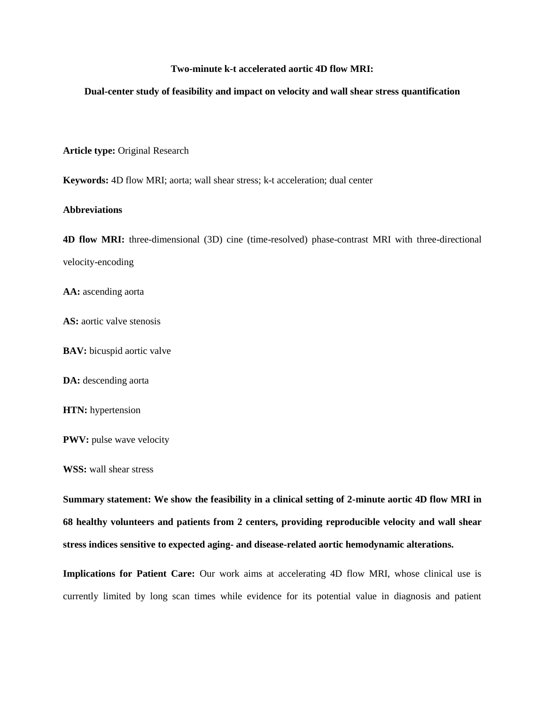# **Two-minute k-t accelerated aortic 4D flow MRI:**

#### **Dual-center study of feasibility and impact on velocity and wall shear stress quantification**

**Article type:** Original Research

**Keywords:** 4D flow MRI; aorta; wall shear stress; k-t acceleration; dual center

#### **Abbreviations**

**4D flow MRI:** three-dimensional (3D) cine (time-resolved) phase-contrast MRI with three-directional velocity-encoding

**AA:** ascending aorta

**AS:** aortic valve stenosis

**BAV:** bicuspid aortic valve

DA: descending aorta

**HTN:** hypertension

**PWV:** pulse wave velocity

**WSS:** wall shear stress

**Summary statement: We show the feasibility in a clinical setting of 2-minute aortic 4D flow MRI in 68 healthy volunteers and patients from 2 centers, providing reproducible velocity and wall shear stress indices sensitive to expected aging- and disease-related aortic hemodynamic alterations.**

**Implications for Patient Care:** Our work aims at accelerating 4D flow MRI, whose clinical use is currently limited by long scan times while evidence for its potential value in diagnosis and patient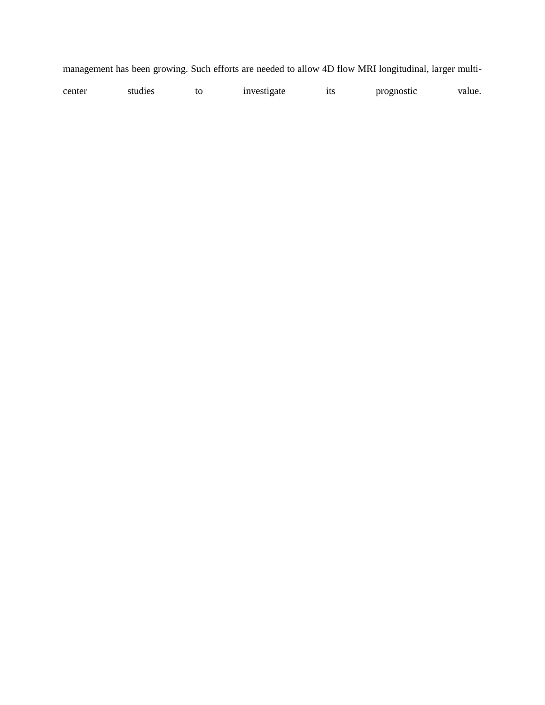|  |  |  |  |  |  | management has been growing. Such efforts are needed to allow 4D flow MRI longitudinal, larger multi- |  |
|--|--|--|--|--|--|-------------------------------------------------------------------------------------------------------|--|
|  |  |  |  |  |  |                                                                                                       |  |

| center | studies | tΩ | <i>n</i> vestigate | 1ts | prognostic | value. |
|--------|---------|----|--------------------|-----|------------|--------|
|--------|---------|----|--------------------|-----|------------|--------|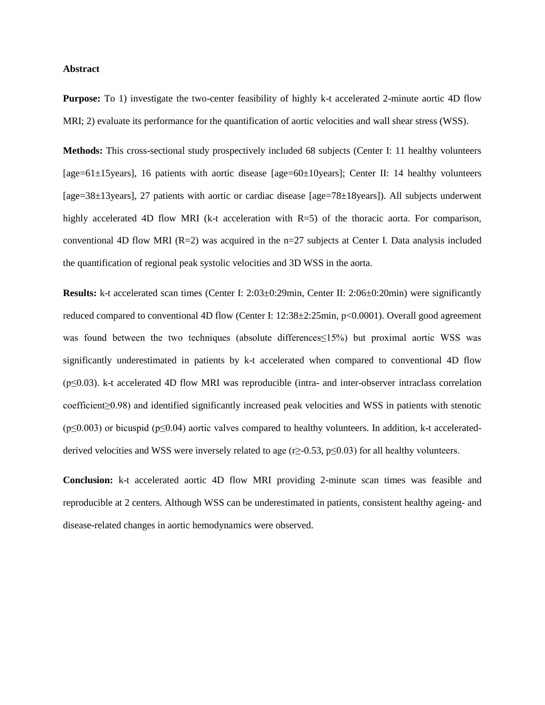# **Abstract**

**Purpose:** To 1) investigate the two-center feasibility of highly k-t accelerated 2-minute aortic 4D flow MRI; 2) evaluate its performance for the quantification of aortic velocities and wall shear stress (WSS).

**Methods:** This cross-sectional study prospectively included 68 subjects (Center I: 11 healthy volunteers [age=61±15years], 16 patients with aortic disease [age=60±10years]; Center II: 14 healthy volunteers [age=38±13years], 27 patients with aortic or cardiac disease [age=78±18years]). All subjects underwent highly accelerated 4D flow MRI (k-t acceleration with R=5) of the thoracic aorta. For comparison, conventional 4D flow MRI ( $R=2$ ) was acquired in the n=27 subjects at Center I. Data analysis included the quantification of regional peak systolic velocities and 3D WSS in the aorta.

**Results:** k-t accelerated scan times (Center I: 2:03±0:29min, Center II: 2:06±0:20min) were significantly reduced compared to conventional 4D flow (Center I: 12:38±2:25min, p<0.0001). Overall good agreement was found between the two techniques (absolute differences≤15%) but proximal aortic WSS was significantly underestimated in patients by k-t accelerated when compared to conventional 4D flow (p≤0.03). k-t accelerated 4D flow MRI was reproducible (intra- and inter-observer intraclass correlation coefficient≥0.98) and identified significantly increased peak velocities and WSS in patients with stenotic  $(p \le 0.003)$  or bicuspid (p $\le 0.04$ ) aortic valves compared to healthy volunteers. In addition, k-t acceleratedderived velocities and WSS were inversely related to age ( $r\geq$ -0.53,  $p\leq$ 0.03) for all healthy volunteers.

**Conclusion:** k-t accelerated aortic 4D flow MRI providing 2-minute scan times was feasible and reproducible at 2 centers. Although WSS can be underestimated in patients, consistent healthy ageing- and disease-related changes in aortic hemodynamics were observed.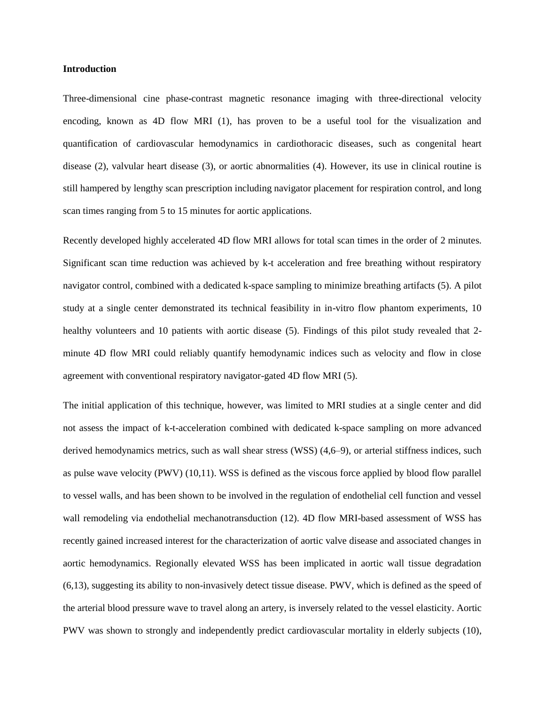# **Introduction**

Three-dimensional cine phase-contrast magnetic resonance imaging with three-directional velocity encoding, known as 4D flow MRI (1), has proven to be a useful tool for the visualization and quantification of cardiovascular hemodynamics in cardiothoracic diseases, such as congenital heart disease (2), valvular heart disease (3), or aortic abnormalities (4). However, its use in clinical routine is still hampered by lengthy scan prescription including navigator placement for respiration control, and long scan times ranging from 5 to 15 minutes for aortic applications.

Recently developed highly accelerated 4D flow MRI allows for total scan times in the order of 2 minutes. Significant scan time reduction was achieved by k-t acceleration and free breathing without respiratory navigator control, combined with a dedicated k-space sampling to minimize breathing artifacts (5). A pilot study at a single center demonstrated its technical feasibility in in-vitro flow phantom experiments, 10 healthy volunteers and 10 patients with aortic disease (5). Findings of this pilot study revealed that 2minute 4D flow MRI could reliably quantify hemodynamic indices such as velocity and flow in close agreement with conventional respiratory navigator-gated 4D flow MRI (5).

The initial application of this technique, however, was limited to MRI studies at a single center and did not assess the impact of k-t-acceleration combined with dedicated k-space sampling on more advanced derived hemodynamics metrics, such as wall shear stress (WSS) (4,6–9), or arterial stiffness indices, such as pulse wave velocity (PWV) (10,11). WSS is defined as the viscous force applied by blood flow parallel to vessel walls, and has been shown to be involved in the regulation of endothelial cell function and vessel wall remodeling via endothelial mechanotransduction (12). 4D flow MRI-based assessment of WSS has recently gained increased interest for the characterization of aortic valve disease and associated changes in aortic hemodynamics. Regionally elevated WSS has been implicated in aortic wall tissue degradation (6,13), suggesting its ability to non-invasively detect tissue disease. PWV, which is defined as the speed of the arterial blood pressure wave to travel along an artery, is inversely related to the vessel elasticity. Aortic PWV was shown to strongly and independently predict cardiovascular mortality in elderly subjects (10),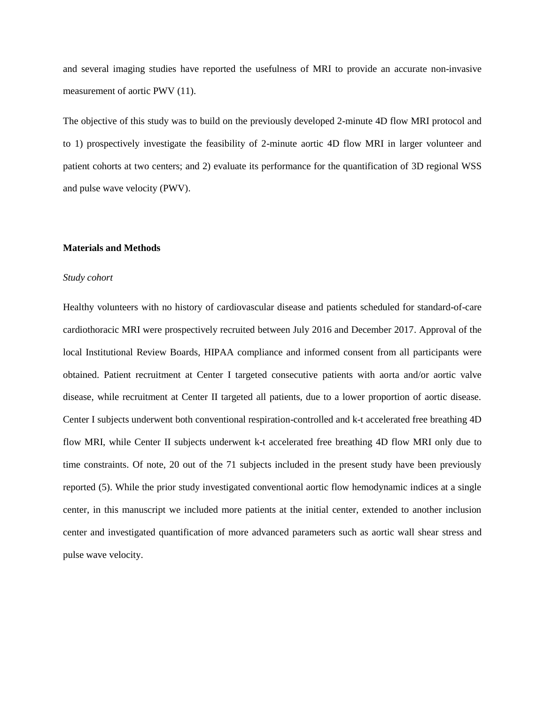and several imaging studies have reported the usefulness of MRI to provide an accurate non-invasive measurement of aortic PWV (11).

The objective of this study was to build on the previously developed 2-minute 4D flow MRI protocol and to 1) prospectively investigate the feasibility of 2-minute aortic 4D flow MRI in larger volunteer and patient cohorts at two centers; and 2) evaluate its performance for the quantification of 3D regional WSS and pulse wave velocity (PWV).

#### **Materials and Methods**

#### *Study cohort*

Healthy volunteers with no history of cardiovascular disease and patients scheduled for standard-of-care cardiothoracic MRI were prospectively recruited between July 2016 and December 2017. Approval of the local Institutional Review Boards, HIPAA compliance and informed consent from all participants were obtained. Patient recruitment at Center I targeted consecutive patients with aorta and/or aortic valve disease, while recruitment at Center II targeted all patients, due to a lower proportion of aortic disease. Center I subjects underwent both conventional respiration-controlled and k-t accelerated free breathing 4D flow MRI, while Center II subjects underwent k-t accelerated free breathing 4D flow MRI only due to time constraints. Of note, 20 out of the 71 subjects included in the present study have been previously reported (5). While the prior study investigated conventional aortic flow hemodynamic indices at a single center, in this manuscript we included more patients at the initial center, extended to another inclusion center and investigated quantification of more advanced parameters such as aortic wall shear stress and pulse wave velocity.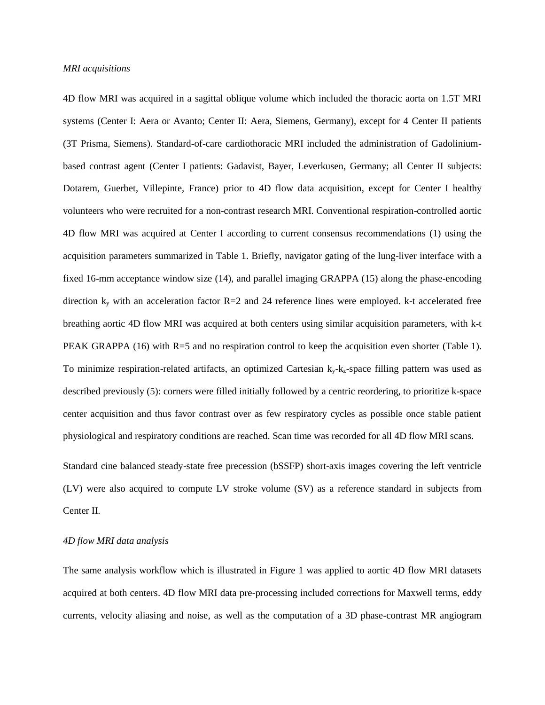#### *MRI acquisitions*

4D flow MRI was acquired in a sagittal oblique volume which included the thoracic aorta on 1.5T MRI systems (Center I: Aera or Avanto; Center II: Aera, Siemens, Germany), except for 4 Center II patients (3T Prisma, Siemens). Standard-of-care cardiothoracic MRI included the administration of Gadoliniumbased contrast agent (Center I patients: Gadavist, Bayer, Leverkusen, Germany; all Center II subjects: Dotarem, Guerbet, Villepinte, France) prior to 4D flow data acquisition, except for Center I healthy volunteers who were recruited for a non-contrast research MRI. Conventional respiration-controlled aortic 4D flow MRI was acquired at Center I according to current consensus recommendations (1) using the acquisition parameters summarized in Table 1. Briefly, navigator gating of the lung-liver interface with a fixed 16-mm acceptance window size (14), and parallel imaging GRAPPA (15) along the phase-encoding direction  $k_y$  with an acceleration factor  $R=2$  and 24 reference lines were employed. k-t accelerated free breathing aortic 4D flow MRI was acquired at both centers using similar acquisition parameters, with k-t PEAK GRAPPA (16) with R=5 and no respiration control to keep the acquisition even shorter (Table 1). To minimize respiration-related artifacts, an optimized Cartesian  $k_y-k_z$ -space filling pattern was used as described previously (5): corners were filled initially followed by a centric reordering, to prioritize k-space center acquisition and thus favor contrast over as few respiratory cycles as possible once stable patient physiological and respiratory conditions are reached. Scan time was recorded for all 4D flow MRI scans.

Standard cine balanced steady-state free precession (bSSFP) short-axis images covering the left ventricle (LV) were also acquired to compute LV stroke volume (SV) as a reference standard in subjects from Center II.

# *4D flow MRI data analysis*

The same analysis workflow which is illustrated in Figure 1 was applied to aortic 4D flow MRI datasets acquired at both centers. 4D flow MRI data pre-processing included corrections for Maxwell terms, eddy currents, velocity aliasing and noise, as well as the computation of a 3D phase-contrast MR angiogram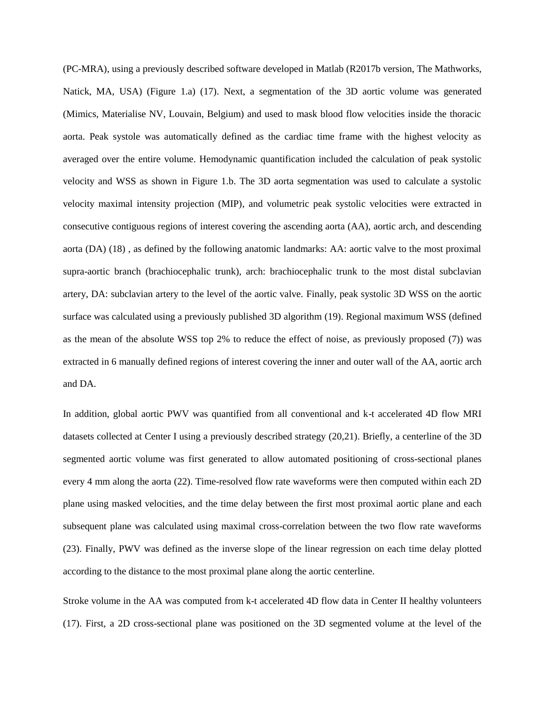(PC-MRA), using a previously described software developed in Matlab (R2017b version, The Mathworks, Natick, MA, USA) (Figure 1.a) (17). Next, a segmentation of the 3D aortic volume was generated (Mimics, Materialise NV, Louvain, Belgium) and used to mask blood flow velocities inside the thoracic aorta. Peak systole was automatically defined as the cardiac time frame with the highest velocity as averaged over the entire volume. Hemodynamic quantification included the calculation of peak systolic velocity and WSS as shown in Figure 1.b. The 3D aorta segmentation was used to calculate a systolic velocity maximal intensity projection (MIP), and volumetric peak systolic velocities were extracted in consecutive contiguous regions of interest covering the ascending aorta (AA), aortic arch, and descending aorta (DA) (18) , as defined by the following anatomic landmarks: AA: aortic valve to the most proximal supra-aortic branch (brachiocephalic trunk), arch: brachiocephalic trunk to the most distal subclavian artery, DA: subclavian artery to the level of the aortic valve. Finally, peak systolic 3D WSS on the aortic surface was calculated using a previously published 3D algorithm (19). Regional maximum WSS (defined as the mean of the absolute WSS top 2% to reduce the effect of noise, as previously proposed (7)) was extracted in 6 manually defined regions of interest covering the inner and outer wall of the AA, aortic arch and DA.

In addition, global aortic PWV was quantified from all conventional and k-t accelerated 4D flow MRI datasets collected at Center I using a previously described strategy (20,21). Briefly, a centerline of the 3D segmented aortic volume was first generated to allow automated positioning of cross-sectional planes every 4 mm along the aorta (22). Time-resolved flow rate waveforms were then computed within each 2D plane using masked velocities, and the time delay between the first most proximal aortic plane and each subsequent plane was calculated using maximal cross-correlation between the two flow rate waveforms (23). Finally, PWV was defined as the inverse slope of the linear regression on each time delay plotted according to the distance to the most proximal plane along the aortic centerline.

Stroke volume in the AA was computed from k-t accelerated 4D flow data in Center II healthy volunteers (17). First, a 2D cross-sectional plane was positioned on the 3D segmented volume at the level of the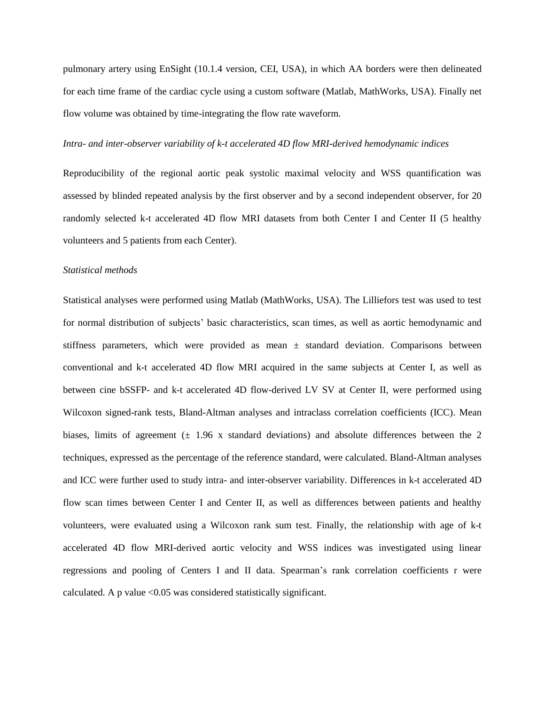pulmonary artery using EnSight (10.1.4 version, CEI, USA), in which AA borders were then delineated for each time frame of the cardiac cycle using a custom software (Matlab, MathWorks, USA). Finally net flow volume was obtained by time-integrating the flow rate waveform.

#### *Intra- and inter-observer variability of k-t accelerated 4D flow MRI-derived hemodynamic indices*

Reproducibility of the regional aortic peak systolic maximal velocity and WSS quantification was assessed by blinded repeated analysis by the first observer and by a second independent observer, for 20 randomly selected k-t accelerated 4D flow MRI datasets from both Center I and Center II (5 healthy volunteers and 5 patients from each Center).

#### *Statistical methods*

Statistical analyses were performed using Matlab (MathWorks, USA). The Lilliefors test was used to test for normal distribution of subjects' basic characteristics, scan times, as well as aortic hemodynamic and stiffness parameters, which were provided as mean  $\pm$  standard deviation. Comparisons between conventional and k-t accelerated 4D flow MRI acquired in the same subjects at Center I, as well as between cine bSSFP- and k-t accelerated 4D flow-derived LV SV at Center II, were performed using Wilcoxon signed-rank tests, Bland-Altman analyses and intraclass correlation coefficients (ICC). Mean biases, limits of agreement  $(\pm 1.96 \times \text{standard deviations})$  and absolute differences between the 2 techniques, expressed as the percentage of the reference standard, were calculated. Bland-Altman analyses and ICC were further used to study intra- and inter-observer variability. Differences in k-t accelerated 4D flow scan times between Center I and Center II, as well as differences between patients and healthy volunteers, were evaluated using a Wilcoxon rank sum test. Finally, the relationship with age of k-t accelerated 4D flow MRI-derived aortic velocity and WSS indices was investigated using linear regressions and pooling of Centers I and II data. Spearman's rank correlation coefficients r were calculated. A p value  $\leq 0.05$  was considered statistically significant.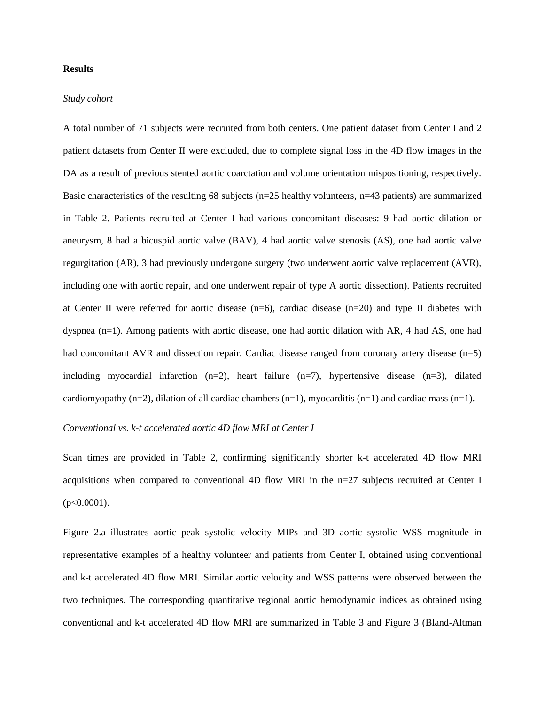# **Results**

#### *Study cohort*

A total number of 71 subjects were recruited from both centers. One patient dataset from Center I and 2 patient datasets from Center II were excluded, due to complete signal loss in the 4D flow images in the DA as a result of previous stented aortic coarctation and volume orientation mispositioning, respectively. Basic characteristics of the resulting 68 subjects (n=25 healthy volunteers, n=43 patients) are summarized in Table 2. Patients recruited at Center I had various concomitant diseases: 9 had aortic dilation or aneurysm, 8 had a bicuspid aortic valve (BAV), 4 had aortic valve stenosis (AS), one had aortic valve regurgitation (AR), 3 had previously undergone surgery (two underwent aortic valve replacement (AVR), including one with aortic repair, and one underwent repair of type A aortic dissection). Patients recruited at Center II were referred for aortic disease (n=6), cardiac disease (n=20) and type II diabetes with dyspnea (n=1). Among patients with aortic disease, one had aortic dilation with AR, 4 had AS, one had had concomitant AVR and dissection repair. Cardiac disease ranged from coronary artery disease (n=5) including myocardial infarction  $(n=2)$ , heart failure  $(n=7)$ , hypertensive disease  $(n=3)$ , dilated cardiomyopathy  $(n=2)$ , dilation of all cardiac chambers  $(n=1)$ , myocarditis  $(n=1)$  and cardiac mass  $(n=1)$ .

#### *Conventional vs. k-t accelerated aortic 4D flow MRI at Center I*

Scan times are provided in Table 2, confirming significantly shorter k-t accelerated 4D flow MRI acquisitions when compared to conventional 4D flow MRI in the n=27 subjects recruited at Center I  $(p<0.0001)$ .

Figure 2.a illustrates aortic peak systolic velocity MIPs and 3D aortic systolic WSS magnitude in representative examples of a healthy volunteer and patients from Center I, obtained using conventional and k-t accelerated 4D flow MRI. Similar aortic velocity and WSS patterns were observed between the two techniques. The corresponding quantitative regional aortic hemodynamic indices as obtained using conventional and k-t accelerated 4D flow MRI are summarized in Table 3 and Figure 3 (Bland-Altman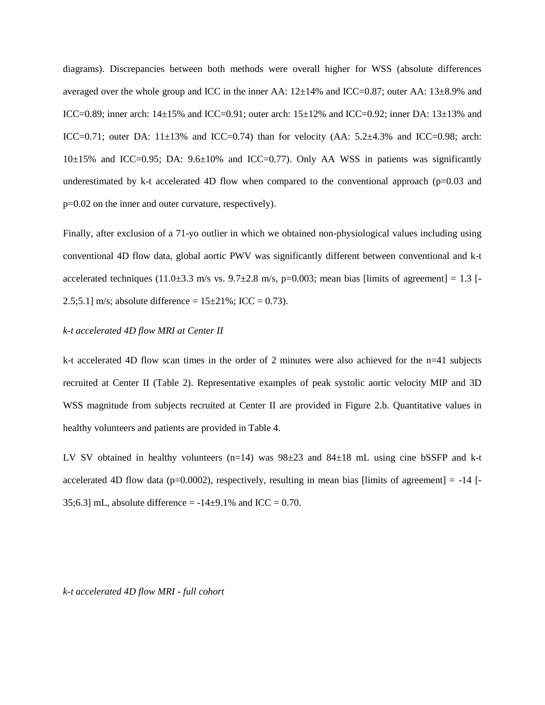diagrams). Discrepancies between both methods were overall higher for WSS (absolute differences averaged over the whole group and ICC in the inner AA:  $12\pm14\%$  and ICC=0.87; outer AA:  $13\pm8.9\%$  and ICC=0.89; inner arch:  $14\pm15\%$  and ICC=0.91; outer arch:  $15\pm12\%$  and ICC=0.92; inner DA:  $13\pm13\%$  and ICC=0.71; outer DA:  $11\pm13\%$  and ICC=0.74) than for velocity (AA:  $5.2\pm4.3\%$  and ICC=0.98; arch:  $10±15%$  and ICC=0.95; DA:  $9.6±10%$  and ICC=0.77). Only AA WSS in patients was significantly underestimated by k-t accelerated 4D flow when compared to the conventional approach ( $p=0.03$  and p=0.02 on the inner and outer curvature, respectively).

Finally, after exclusion of a 71-yo outlier in which we obtained non-physiological values including using conventional 4D flow data, global aortic PWV was significantly different between conventional and k-t accelerated techniques (11.0 $\pm$ 3.3 m/s vs. 9.7 $\pm$ 2.8 m/s, p=0.003; mean bias [limits of agreement] = 1.3 [-2.5;5.1] m/s; absolute difference =  $15\pm21\%$ ; ICC = 0.73).

#### *k-t accelerated 4D flow MRI at Center II*

k-t accelerated 4D flow scan times in the order of 2 minutes were also achieved for the n=41 subjects recruited at Center II (Table 2). Representative examples of peak systolic aortic velocity MIP and 3D WSS magnitude from subjects recruited at Center II are provided in Figure 2.b. Quantitative values in healthy volunteers and patients are provided in Table 4.

LV SV obtained in healthy volunteers (n=14) was  $98\pm 23$  and  $84\pm 18$  mL using cine bSSFP and k-t accelerated 4D flow data ( $p=0.0002$ ), respectively, resulting in mean bias [limits of agreement] = -14 [-35;6.3] mL, absolute difference =  $-14\pm9.1\%$  and ICC = 0.70.

*k-t accelerated 4D flow MRI - full cohort*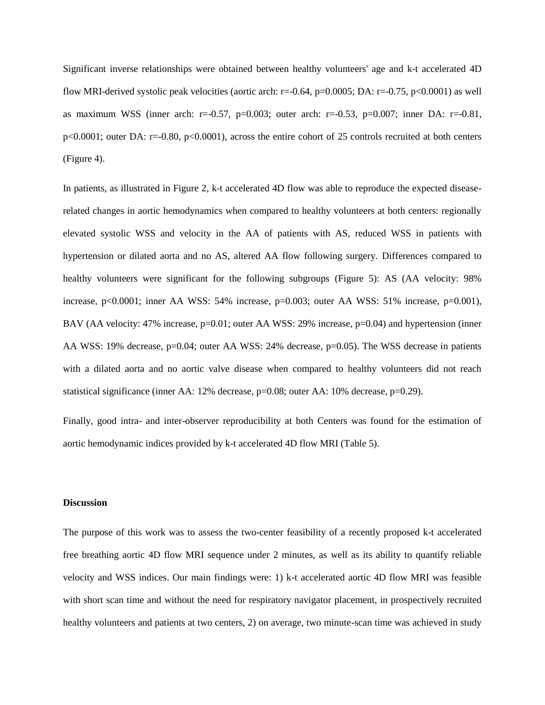Significant inverse relationships were obtained between healthy volunteers' age and k-t accelerated 4D flow MRI-derived systolic peak velocities (aortic arch: r=-0.64, p=0.0005; DA: r=-0.75, p<0.0001) as well as maximum WSS (inner arch:  $r=0.57$ ,  $p=0.003$ ; outer arch:  $r=-0.53$ ,  $p=0.007$ ; inner DA:  $r=-0.81$ , p<0.0001; outer DA: r=-0.80, p<0.0001), across the entire cohort of 25 controls recruited at both centers (Figure 4).

In patients, as illustrated in Figure 2, k-t accelerated 4D flow was able to reproduce the expected diseaserelated changes in aortic hemodynamics when compared to healthy volunteers at both centers: regionally elevated systolic WSS and velocity in the AA of patients with AS, reduced WSS in patients with hypertension or dilated aorta and no AS, altered AA flow following surgery. Differences compared to healthy volunteers were significant for the following subgroups (Figure 5): AS (AA velocity: 98% increase, p<0.0001; inner AA WSS: 54% increase, p=0.003; outer AA WSS: 51% increase, p=0.001), BAV (AA velocity: 47% increase, p=0.01; outer AA WSS: 29% increase, p=0.04) and hypertension (inner AA WSS: 19% decrease, p=0.04; outer AA WSS: 24% decrease, p=0.05). The WSS decrease in patients with a dilated aorta and no aortic valve disease when compared to healthy volunteers did not reach statistical significance (inner AA: 12% decrease, p=0.08; outer AA: 10% decrease, p=0.29).

Finally, good intra- and inter-observer reproducibility at both Centers was found for the estimation of aortic hemodynamic indices provided by k-t accelerated 4D flow MRI (Table 5).

#### **Discussion**

The purpose of this work was to assess the two-center feasibility of a recently proposed k-t accelerated free breathing aortic 4D flow MRI sequence under 2 minutes, as well as its ability to quantify reliable velocity and WSS indices. Our main findings were: 1) k-t accelerated aortic 4D flow MRI was feasible with short scan time and without the need for respiratory navigator placement, in prospectively recruited healthy volunteers and patients at two centers, 2) on average, two minute-scan time was achieved in study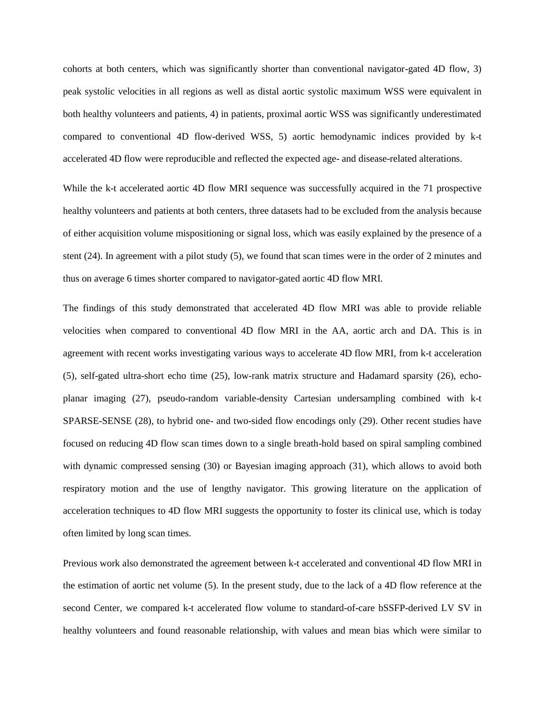cohorts at both centers, which was significantly shorter than conventional navigator-gated 4D flow, 3) peak systolic velocities in all regions as well as distal aortic systolic maximum WSS were equivalent in both healthy volunteers and patients, 4) in patients, proximal aortic WSS was significantly underestimated compared to conventional 4D flow-derived WSS, 5) aortic hemodynamic indices provided by k-t accelerated 4D flow were reproducible and reflected the expected age- and disease-related alterations.

While the k-t accelerated aortic 4D flow MRI sequence was successfully acquired in the 71 prospective healthy volunteers and patients at both centers, three datasets had to be excluded from the analysis because of either acquisition volume mispositioning or signal loss, which was easily explained by the presence of a stent (24). In agreement with a pilot study (5), we found that scan times were in the order of 2 minutes and thus on average 6 times shorter compared to navigator-gated aortic 4D flow MRI.

The findings of this study demonstrated that accelerated 4D flow MRI was able to provide reliable velocities when compared to conventional 4D flow MRI in the AA, aortic arch and DA. This is in agreement with recent works investigating various ways to accelerate 4D flow MRI, from k-t acceleration (5), self-gated ultra-short echo time (25), low-rank matrix structure and Hadamard sparsity (26), echoplanar imaging (27), pseudo-random variable-density Cartesian undersampling combined with k-t SPARSE-SENSE (28), to hybrid one- and two-sided flow encodings only (29). Other recent studies have focused on reducing 4D flow scan times down to a single breath-hold based on spiral sampling combined with dynamic compressed sensing (30) or Bayesian imaging approach (31), which allows to avoid both respiratory motion and the use of lengthy navigator. This growing literature on the application of acceleration techniques to 4D flow MRI suggests the opportunity to foster its clinical use, which is today often limited by long scan times.

Previous work also demonstrated the agreement between k-t accelerated and conventional 4D flow MRI in the estimation of aortic net volume (5). In the present study, due to the lack of a 4D flow reference at the second Center, we compared k-t accelerated flow volume to standard-of-care bSSFP-derived LV SV in healthy volunteers and found reasonable relationship, with values and mean bias which were similar to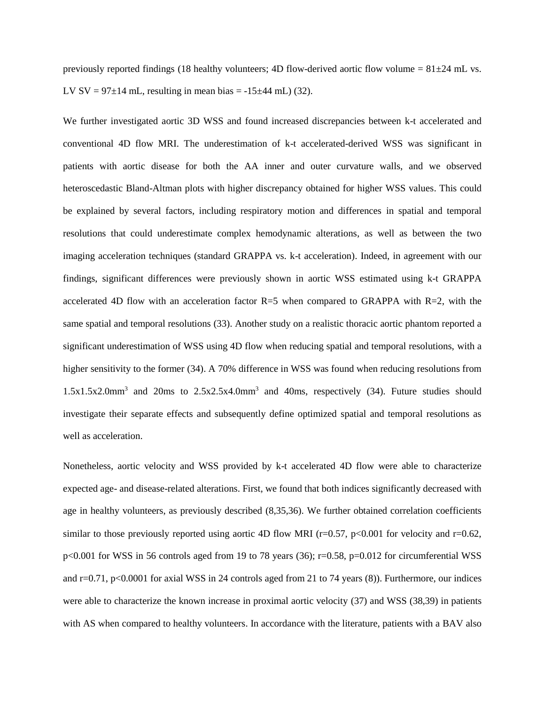previously reported findings (18 healthy volunteers; 4D flow-derived aortic flow volume =  $81\pm24$  mL vs. LV SV =  $97\pm14$  mL, resulting in mean bias =  $-15\pm44$  mL) (32).

We further investigated aortic 3D WSS and found increased discrepancies between k-t accelerated and conventional 4D flow MRI. The underestimation of k-t accelerated-derived WSS was significant in patients with aortic disease for both the AA inner and outer curvature walls, and we observed heteroscedastic Bland-Altman plots with higher discrepancy obtained for higher WSS values. This could be explained by several factors, including respiratory motion and differences in spatial and temporal resolutions that could underestimate complex hemodynamic alterations, as well as between the two imaging acceleration techniques (standard GRAPPA vs. k-t acceleration). Indeed, in agreement with our findings, significant differences were previously shown in aortic WSS estimated using k-t GRAPPA accelerated 4D flow with an acceleration factor  $R=5$  when compared to GRAPPA with  $R=2$ , with the same spatial and temporal resolutions (33). Another study on a realistic thoracic aortic phantom reported a significant underestimation of WSS using 4D flow when reducing spatial and temporal resolutions, with a higher sensitivity to the former (34). A 70% difference in WSS was found when reducing resolutions from 1.5x1.5x2.0mm<sup>3</sup> and 20ms to 2.5x2.5x4.0mm<sup>3</sup> and 40ms, respectively (34). Future studies should investigate their separate effects and subsequently define optimized spatial and temporal resolutions as well as acceleration.

Nonetheless, aortic velocity and WSS provided by k-t accelerated 4D flow were able to characterize expected age- and disease-related alterations. First, we found that both indices significantly decreased with age in healthy volunteers, as previously described (8,35,36). We further obtained correlation coefficients similar to those previously reported using aortic 4D flow MRI ( $r=0.57$ ,  $p<0.001$  for velocity and  $r=0.62$ , p<0.001 for WSS in 56 controls aged from 19 to 78 years (36); r=0.58, p=0.012 for circumferential WSS and r=0.71, p<0.0001 for axial WSS in 24 controls aged from 21 to 74 years (8)). Furthermore, our indices were able to characterize the known increase in proximal aortic velocity (37) and WSS (38,39) in patients with AS when compared to healthy volunteers. In accordance with the literature, patients with a BAV also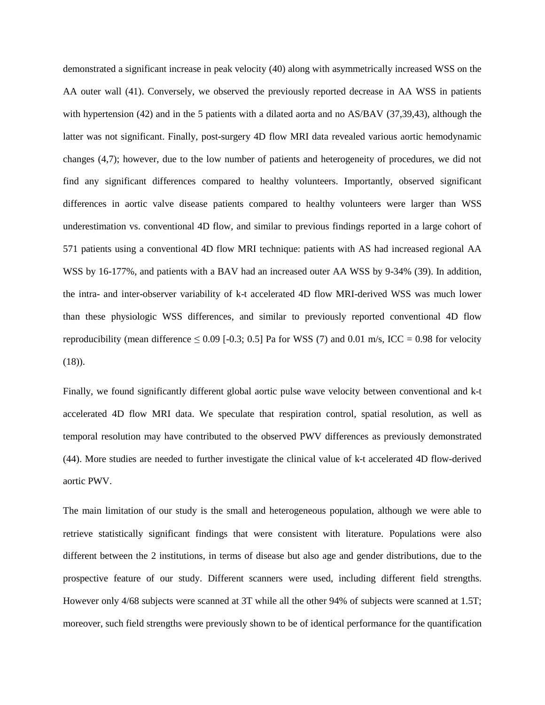demonstrated a significant increase in peak velocity (40) along with asymmetrically increased WSS on the AA outer wall (41). Conversely, we observed the previously reported decrease in AA WSS in patients with hypertension (42) and in the 5 patients with a dilated aorta and no AS/BAV (37,39,43), although the latter was not significant. Finally, post-surgery 4D flow MRI data revealed various aortic hemodynamic changes (4,7); however, due to the low number of patients and heterogeneity of procedures, we did not find any significant differences compared to healthy volunteers. Importantly, observed significant differences in aortic valve disease patients compared to healthy volunteers were larger than WSS underestimation vs. conventional 4D flow, and similar to previous findings reported in a large cohort of 571 patients using a conventional 4D flow MRI technique: patients with AS had increased regional AA WSS by 16-177%, and patients with a BAV had an increased outer AA WSS by 9-34% (39). In addition, the intra- and inter-observer variability of k-t accelerated 4D flow MRI-derived WSS was much lower than these physiologic WSS differences, and similar to previously reported conventional 4D flow reproducibility (mean difference  $\leq 0.09$  [-0.3; 0.5] Pa for WSS (7) and 0.01 m/s, ICC = 0.98 for velocity  $(18)$ .

Finally, we found significantly different global aortic pulse wave velocity between conventional and k-t accelerated 4D flow MRI data. We speculate that respiration control, spatial resolution, as well as temporal resolution may have contributed to the observed PWV differences as previously demonstrated (44). More studies are needed to further investigate the clinical value of k-t accelerated 4D flow-derived aortic PWV.

The main limitation of our study is the small and heterogeneous population, although we were able to retrieve statistically significant findings that were consistent with literature. Populations were also different between the 2 institutions, in terms of disease but also age and gender distributions, due to the prospective feature of our study. Different scanners were used, including different field strengths. However only 4/68 subjects were scanned at 3T while all the other 94% of subjects were scanned at 1.5T; moreover, such field strengths were previously shown to be of identical performance for the quantification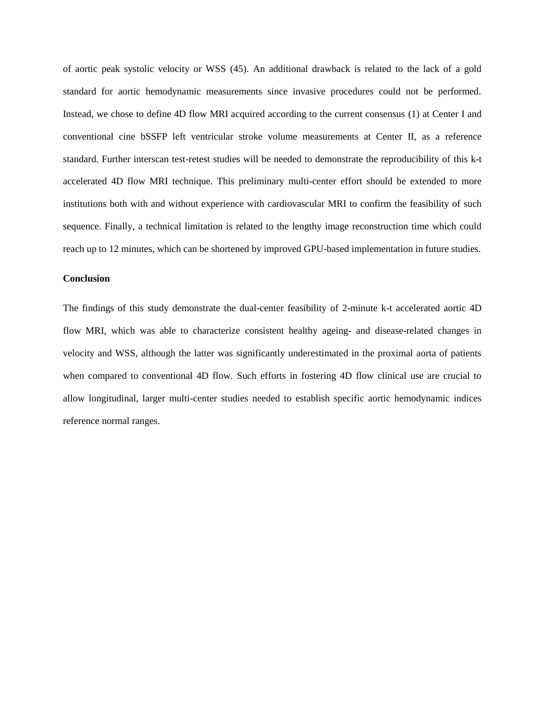of aortic peak systolic velocity or WSS (45). An additional drawback is related to the lack of a gold standard for aortic hemodynamic measurements since invasive procedures could not be performed. Instead, we chose to define 4D flow MRI acquired according to the current consensus (1) at Center I and conventional cine bSSFP left ventricular stroke volume measurements at Center II, as a reference standard. Further interscan test-retest studies will be needed to demonstrate the reproducibility of this k-t accelerated 4D flow MRI technique. This preliminary multi-center effort should be extended to more institutions both with and without experience with cardiovascular MRI to confirm the feasibility of such sequence. Finally, a technical limitation is related to the lengthy image reconstruction time which could reach up to 12 minutes, which can be shortened by improved GPU-based implementation in future studies.

# **Conclusion**

The findings of this study demonstrate the dual-center feasibility of 2-minute k-t accelerated aortic 4D flow MRI, which was able to characterize consistent healthy ageing- and disease-related changes in velocity and WSS, although the latter was significantly underestimated in the proximal aorta of patients when compared to conventional 4D flow. Such efforts in fostering 4D flow clinical use are crucial to allow longitudinal, larger multi-center studies needed to establish specific aortic hemodynamic indices reference normal ranges.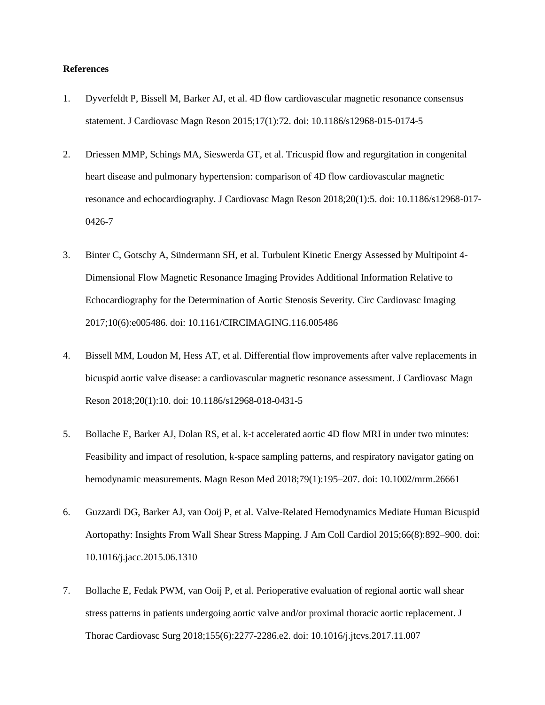#### **References**

- 1. Dyverfeldt P, Bissell M, Barker AJ, et al. 4D flow cardiovascular magnetic resonance consensus statement. J Cardiovasc Magn Reson 2015;17(1):72. doi: 10.1186/s12968-015-0174-5
- 2. Driessen MMP, Schings MA, Sieswerda GT, et al. Tricuspid flow and regurgitation in congenital heart disease and pulmonary hypertension: comparison of 4D flow cardiovascular magnetic resonance and echocardiography. J Cardiovasc Magn Reson 2018;20(1):5. doi: 10.1186/s12968-017- 0426-7
- 3. Binter C, Gotschy A, Sündermann SH, et al. Turbulent Kinetic Energy Assessed by Multipoint 4- Dimensional Flow Magnetic Resonance Imaging Provides Additional Information Relative to Echocardiography for the Determination of Aortic Stenosis Severity. Circ Cardiovasc Imaging 2017;10(6):e005486. doi: 10.1161/CIRCIMAGING.116.005486
- 4. Bissell MM, Loudon M, Hess AT, et al. Differential flow improvements after valve replacements in bicuspid aortic valve disease: a cardiovascular magnetic resonance assessment. J Cardiovasc Magn Reson 2018;20(1):10. doi: 10.1186/s12968-018-0431-5
- 5. Bollache E, Barker AJ, Dolan RS, et al. k-t accelerated aortic 4D flow MRI in under two minutes: Feasibility and impact of resolution, k-space sampling patterns, and respiratory navigator gating on hemodynamic measurements. Magn Reson Med 2018;79(1):195–207. doi: 10.1002/mrm.26661
- 6. Guzzardi DG, Barker AJ, van Ooij P, et al. Valve-Related Hemodynamics Mediate Human Bicuspid Aortopathy: Insights From Wall Shear Stress Mapping. J Am Coll Cardiol 2015;66(8):892–900. doi: 10.1016/j.jacc.2015.06.1310
- 7. Bollache E, Fedak PWM, van Ooij P, et al. Perioperative evaluation of regional aortic wall shear stress patterns in patients undergoing aortic valve and/or proximal thoracic aortic replacement. J Thorac Cardiovasc Surg 2018;155(6):2277-2286.e2. doi: 10.1016/j.jtcvs.2017.11.007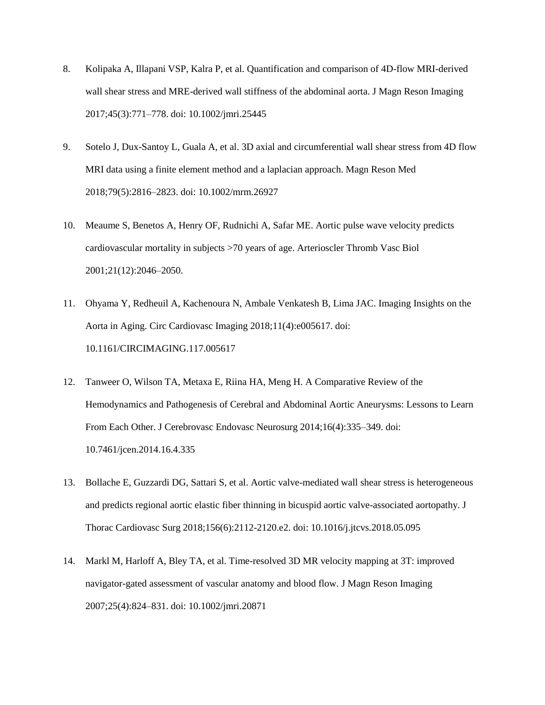- 8. Kolipaka A, Illapani VSP, Kalra P, et al. Quantification and comparison of 4D-flow MRI-derived wall shear stress and MRE-derived wall stiffness of the abdominal aorta. J Magn Reson Imaging 2017;45(3):771–778. doi: 10.1002/jmri.25445
- 9. Sotelo J, Dux-Santoy L, Guala A, et al. 3D axial and circumferential wall shear stress from 4D flow MRI data using a finite element method and a laplacian approach. Magn Reson Med 2018;79(5):2816–2823. doi: 10.1002/mrm.26927
- 10. Meaume S, Benetos A, Henry OF, Rudnichi A, Safar ME. Aortic pulse wave velocity predicts cardiovascular mortality in subjects >70 years of age. Arterioscler Thromb Vasc Biol 2001;21(12):2046–2050.
- 11. Ohyama Y, Redheuil A, Kachenoura N, Ambale Venkatesh B, Lima JAC. Imaging Insights on the Aorta in Aging. Circ Cardiovasc Imaging 2018;11(4):e005617. doi: 10.1161/CIRCIMAGING.117.005617
- 12. Tanweer O, Wilson TA, Metaxa E, Riina HA, Meng H. A Comparative Review of the Hemodynamics and Pathogenesis of Cerebral and Abdominal Aortic Aneurysms: Lessons to Learn From Each Other. J Cerebrovasc Endovasc Neurosurg 2014;16(4):335–349. doi: 10.7461/jcen.2014.16.4.335
- 13. Bollache E, Guzzardi DG, Sattari S, et al. Aortic valve-mediated wall shear stress is heterogeneous and predicts regional aortic elastic fiber thinning in bicuspid aortic valve-associated aortopathy. J Thorac Cardiovasc Surg 2018;156(6):2112-2120.e2. doi: 10.1016/j.jtcvs.2018.05.095
- 14. Markl M, Harloff A, Bley TA, et al. Time-resolved 3D MR velocity mapping at 3T: improved navigator-gated assessment of vascular anatomy and blood flow. J Magn Reson Imaging 2007;25(4):824–831. doi: 10.1002/jmri.20871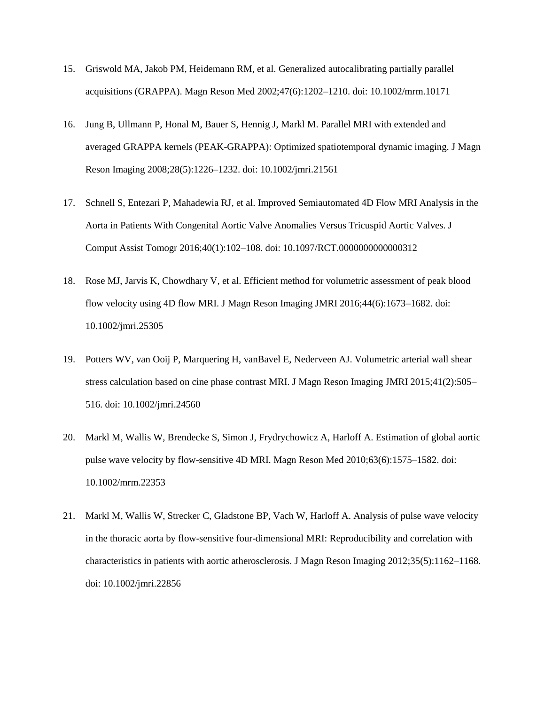- 15. Griswold MA, Jakob PM, Heidemann RM, et al. Generalized autocalibrating partially parallel acquisitions (GRAPPA). Magn Reson Med 2002;47(6):1202–1210. doi: 10.1002/mrm.10171
- 16. Jung B, Ullmann P, Honal M, Bauer S, Hennig J, Markl M. Parallel MRI with extended and averaged GRAPPA kernels (PEAK-GRAPPA): Optimized spatiotemporal dynamic imaging. J Magn Reson Imaging 2008;28(5):1226–1232. doi: 10.1002/jmri.21561
- 17. Schnell S, Entezari P, Mahadewia RJ, et al. Improved Semiautomated 4D Flow MRI Analysis in the Aorta in Patients With Congenital Aortic Valve Anomalies Versus Tricuspid Aortic Valves. J Comput Assist Tomogr 2016;40(1):102–108. doi: 10.1097/RCT.0000000000000312
- 18. Rose MJ, Jarvis K, Chowdhary V, et al. Efficient method for volumetric assessment of peak blood flow velocity using 4D flow MRI. J Magn Reson Imaging JMRI 2016;44(6):1673–1682. doi: 10.1002/jmri.25305
- 19. Potters WV, van Ooij P, Marquering H, vanBavel E, Nederveen AJ. Volumetric arterial wall shear stress calculation based on cine phase contrast MRI. J Magn Reson Imaging JMRI 2015;41(2):505– 516. doi: 10.1002/jmri.24560
- 20. Markl M, Wallis W, Brendecke S, Simon J, Frydrychowicz A, Harloff A. Estimation of global aortic pulse wave velocity by flow-sensitive 4D MRI. Magn Reson Med 2010;63(6):1575–1582. doi: 10.1002/mrm.22353
- 21. Markl M, Wallis W, Strecker C, Gladstone BP, Vach W, Harloff A. Analysis of pulse wave velocity in the thoracic aorta by flow-sensitive four-dimensional MRI: Reproducibility and correlation with characteristics in patients with aortic atherosclerosis. J Magn Reson Imaging 2012;35(5):1162–1168. doi: 10.1002/jmri.22856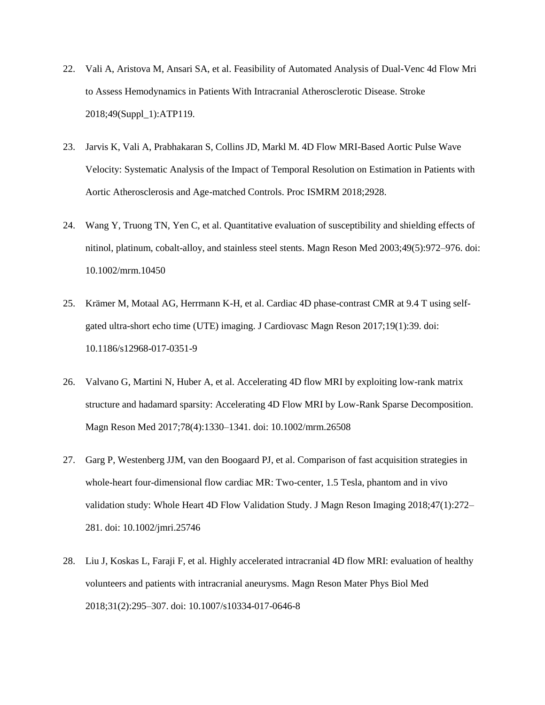- 22. Vali A, Aristova M, Ansari SA, et al. Feasibility of Automated Analysis of Dual-Venc 4d Flow Mri to Assess Hemodynamics in Patients With Intracranial Atherosclerotic Disease. Stroke 2018;49(Suppl\_1):ATP119.
- 23. Jarvis K, Vali A, Prabhakaran S, Collins JD, Markl M. 4D Flow MRI-Based Aortic Pulse Wave Velocity: Systematic Analysis of the Impact of Temporal Resolution on Estimation in Patients with Aortic Atherosclerosis and Age-matched Controls. Proc ISMRM 2018;2928.
- 24. Wang Y, Truong TN, Yen C, et al. Quantitative evaluation of susceptibility and shielding effects of nitinol, platinum, cobalt-alloy, and stainless steel stents. Magn Reson Med 2003;49(5):972–976. doi: 10.1002/mrm.10450
- 25. Krämer M, Motaal AG, Herrmann K-H, et al. Cardiac 4D phase-contrast CMR at 9.4 T using selfgated ultra-short echo time (UTE) imaging. J Cardiovasc Magn Reson 2017;19(1):39. doi: 10.1186/s12968-017-0351-9
- 26. Valvano G, Martini N, Huber A, et al. Accelerating 4D flow MRI by exploiting low-rank matrix structure and hadamard sparsity: Accelerating 4D Flow MRI by Low-Rank Sparse Decomposition. Magn Reson Med 2017;78(4):1330–1341. doi: 10.1002/mrm.26508
- 27. Garg P, Westenberg JJM, van den Boogaard PJ, et al. Comparison of fast acquisition strategies in whole-heart four-dimensional flow cardiac MR: Two-center, 1.5 Tesla, phantom and in vivo validation study: Whole Heart 4D Flow Validation Study. J Magn Reson Imaging 2018;47(1):272– 281. doi: 10.1002/jmri.25746
- 28. Liu J, Koskas L, Faraji F, et al. Highly accelerated intracranial 4D flow MRI: evaluation of healthy volunteers and patients with intracranial aneurysms. Magn Reson Mater Phys Biol Med 2018;31(2):295–307. doi: 10.1007/s10334-017-0646-8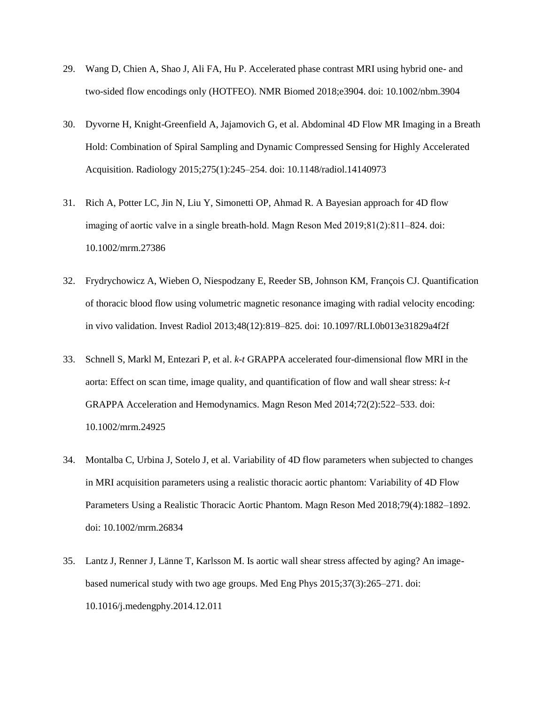- 29. Wang D, Chien A, Shao J, Ali FA, Hu P. Accelerated phase contrast MRI using hybrid one- and two-sided flow encodings only (HOTFEO). NMR Biomed 2018;e3904. doi: 10.1002/nbm.3904
- 30. Dyvorne H, Knight-Greenfield A, Jajamovich G, et al. Abdominal 4D Flow MR Imaging in a Breath Hold: Combination of Spiral Sampling and Dynamic Compressed Sensing for Highly Accelerated Acquisition. Radiology 2015;275(1):245–254. doi: 10.1148/radiol.14140973
- 31. Rich A, Potter LC, Jin N, Liu Y, Simonetti OP, Ahmad R. A Bayesian approach for 4D flow imaging of aortic valve in a single breath‐hold. Magn Reson Med 2019;81(2):811–824. doi: 10.1002/mrm.27386
- 32. Frydrychowicz A, Wieben O, Niespodzany E, Reeder SB, Johnson KM, François CJ. Quantification of thoracic blood flow using volumetric magnetic resonance imaging with radial velocity encoding: in vivo validation. Invest Radiol 2013;48(12):819–825. doi: 10.1097/RLI.0b013e31829a4f2f
- 33. Schnell S, Markl M, Entezari P, et al. *k-t* GRAPPA accelerated four-dimensional flow MRI in the aorta: Effect on scan time, image quality, and quantification of flow and wall shear stress: *k-t* GRAPPA Acceleration and Hemodynamics. Magn Reson Med 2014;72(2):522–533. doi: 10.1002/mrm.24925
- 34. Montalba C, Urbina J, Sotelo J, et al. Variability of 4D flow parameters when subjected to changes in MRI acquisition parameters using a realistic thoracic aortic phantom: Variability of 4D Flow Parameters Using a Realistic Thoracic Aortic Phantom. Magn Reson Med 2018;79(4):1882–1892. doi: 10.1002/mrm.26834
- 35. Lantz J, Renner J, Länne T, Karlsson M. Is aortic wall shear stress affected by aging? An imagebased numerical study with two age groups. Med Eng Phys 2015;37(3):265–271. doi: 10.1016/j.medengphy.2014.12.011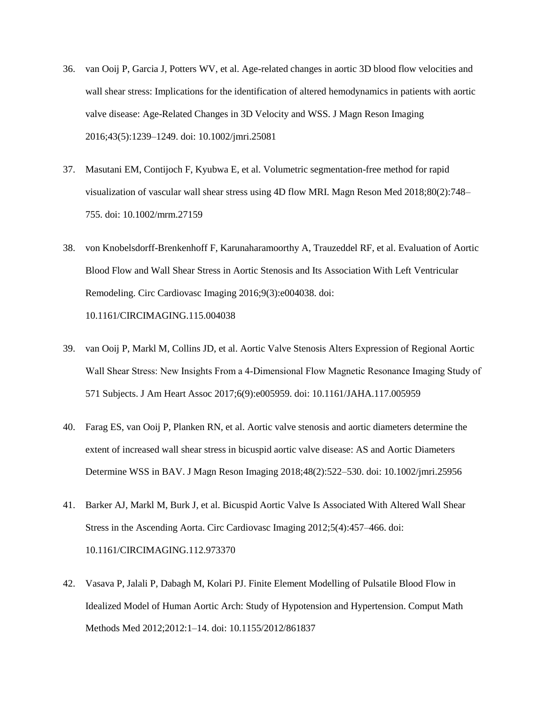- 36. van Ooij P, Garcia J, Potters WV, et al. Age-related changes in aortic 3D blood flow velocities and wall shear stress: Implications for the identification of altered hemodynamics in patients with aortic valve disease: Age-Related Changes in 3D Velocity and WSS. J Magn Reson Imaging 2016;43(5):1239–1249. doi: 10.1002/jmri.25081
- 37. Masutani EM, Contijoch F, Kyubwa E, et al. Volumetric segmentation-free method for rapid visualization of vascular wall shear stress using 4D flow MRI. Magn Reson Med 2018;80(2):748– 755. doi: 10.1002/mrm.27159
- 38. von Knobelsdorff-Brenkenhoff F, Karunaharamoorthy A, Trauzeddel RF, et al. Evaluation of Aortic Blood Flow and Wall Shear Stress in Aortic Stenosis and Its Association With Left Ventricular Remodeling. Circ Cardiovasc Imaging 2016;9(3):e004038. doi: 10.1161/CIRCIMAGING.115.004038
- 39. van Ooij P, Markl M, Collins JD, et al. Aortic Valve Stenosis Alters Expression of Regional Aortic Wall Shear Stress: New Insights From a 4‐Dimensional Flow Magnetic Resonance Imaging Study of 571 Subjects. J Am Heart Assoc 2017;6(9):e005959. doi: 10.1161/JAHA.117.005959
- 40. Farag ES, van Ooij P, Planken RN, et al. Aortic valve stenosis and aortic diameters determine the extent of increased wall shear stress in bicuspid aortic valve disease: AS and Aortic Diameters Determine WSS in BAV. J Magn Reson Imaging 2018;48(2):522–530. doi: 10.1002/jmri.25956
- 41. Barker AJ, Markl M, Burk J, et al. Bicuspid Aortic Valve Is Associated With Altered Wall Shear Stress in the Ascending Aorta. Circ Cardiovasc Imaging 2012;5(4):457–466. doi: 10.1161/CIRCIMAGING.112.973370
- 42. Vasava P, Jalali P, Dabagh M, Kolari PJ. Finite Element Modelling of Pulsatile Blood Flow in Idealized Model of Human Aortic Arch: Study of Hypotension and Hypertension. Comput Math Methods Med 2012;2012:1–14. doi: 10.1155/2012/861837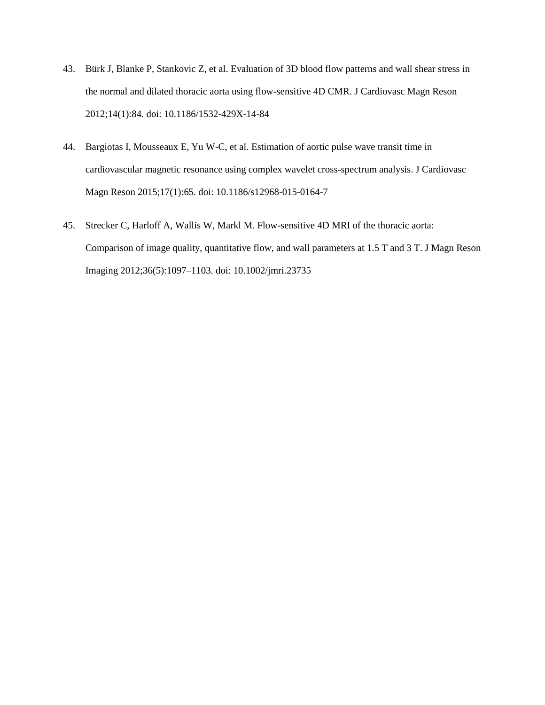- 43. Bürk J, Blanke P, Stankovic Z, et al. Evaluation of 3D blood flow patterns and wall shear stress in the normal and dilated thoracic aorta using flow-sensitive 4D CMR. J Cardiovasc Magn Reson 2012;14(1):84. doi: 10.1186/1532-429X-14-84
- 44. Bargiotas I, Mousseaux E, Yu W-C, et al. Estimation of aortic pulse wave transit time in cardiovascular magnetic resonance using complex wavelet cross-spectrum analysis. J Cardiovasc Magn Reson 2015;17(1):65. doi: 10.1186/s12968-015-0164-7
- 45. Strecker C, Harloff A, Wallis W, Markl M. Flow-sensitive 4D MRI of the thoracic aorta: Comparison of image quality, quantitative flow, and wall parameters at 1.5 T and 3 T. J Magn Reson Imaging 2012;36(5):1097–1103. doi: 10.1002/jmri.23735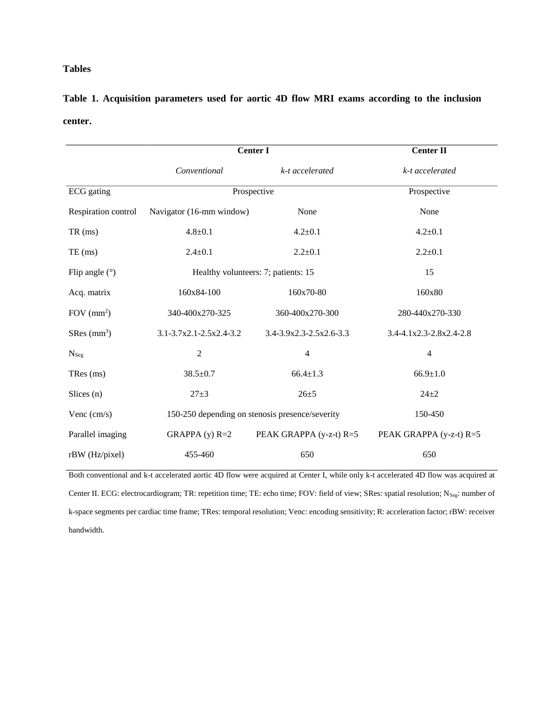# **Tables**

# **Table 1. Acquisition parameters used for aortic 4D flow MRI exams according to the inclusion center.**

|                           | <b>Center I</b>          | <b>Center II</b>                                |                         |
|---------------------------|--------------------------|-------------------------------------------------|-------------------------|
|                           | Conventional             | k-t accelerated                                 | k-t accelerated         |
| ECG gating                |                          | Prospective                                     | Prospective             |
| Respiration control       | Navigator (16-mm window) | None                                            | None                    |
| $TR \, (ms)$              | $4.8 + 0.1$              | $4.2 \pm 0.1$                                   | $4.2 + 0.1$             |
| $TE$ (ms)                 | $2.4 \pm 0.1$            | $2.2 + 0.1$                                     | $2.2 + 0.1$             |
| Flip angle $(°)$          |                          | Healthy volunteers: 7; patients: 15             | 15                      |
| Acq. matrix               | 160x84-100               | 160x70-80                                       | 160x80                  |
| FOV $(mm2)$               | 340-400x270-325          | 360-400x270-300                                 | 280-440x270-330         |
| $SRes$ (mm <sup>3</sup> ) | 3.1-3.7x2.1-2.5x2.4-3.2  | 3.4-3.9x2.3-2.5x2.6-3.3                         | 3.4-4.1x2.3-2.8x2.4-2.8 |
| $N_{Seg}$                 | $\overline{c}$           | $\overline{4}$                                  | $\overline{4}$          |
| TRes (ms)                 | $38.5 \pm 0.7$           | $66.4 \pm 1.3$                                  | $66.9 \pm 1.0$          |
| Slices $(n)$              | $27 + 3$                 | $26 + 5$                                        | $24 + 2$                |
| Venc (cm/s)               |                          | 150-250 depending on stenosis presence/severity | 150-450                 |
| Parallel imaging          | GRAPPA $(y)$ R=2         | PEAK GRAPPA (y-z-t) R=5                         | PEAK GRAPPA (y-z-t) R=5 |
| 455-460<br>rBW (Hz/pixel) |                          | 650                                             | 650                     |

Both conventional and k-t accelerated aortic 4D flow were acquired at Center I, while only k-t accelerated 4D flow was acquired at Center II. ECG: electrocardiogram; TR: repetition time; TE: echo time; FOV: field of view; SRes: spatial resolution; N<sub>Seg</sub>: number of k-space segments per cardiac time frame; TRes: temporal resolution; Venc: encoding sensitivity; R: acceleration factor; rBW: receiver bandwidth.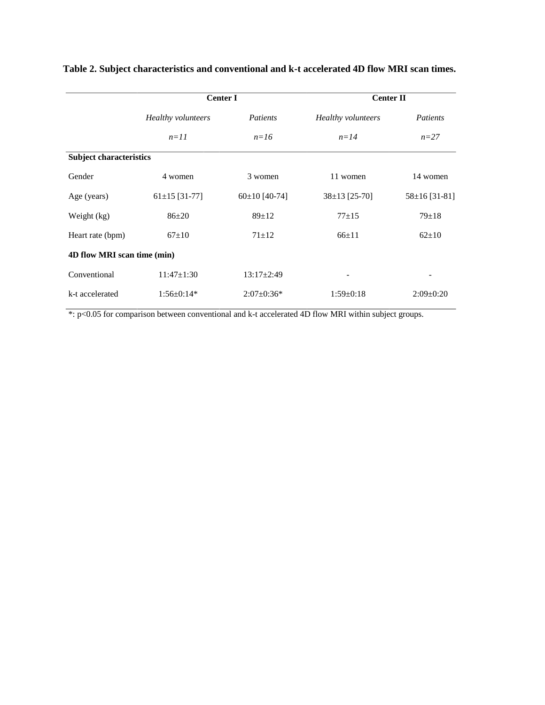|                                | <b>Center I</b>    |                   | <b>Center II</b>   |                    |  |  |
|--------------------------------|--------------------|-------------------|--------------------|--------------------|--|--|
|                                | Healthy volunteers | <i>Patients</i>   | Healthy volunteers | Patients           |  |  |
|                                | $n=11$             | $n=16$            | $n=14$             | $n=27$             |  |  |
| <b>Subject characteristics</b> |                    |                   |                    |                    |  |  |
| Gender                         | 4 women            | 3 women           | 11 women           | 14 women           |  |  |
| Age (years)                    | $61\pm15$ [31-77]  | $60\pm10$ [40-74] | $38\pm13$ [25-70]  | $58\pm 16$ [31-81] |  |  |
| Weight (kg)                    | $86 + 20$          | $89 \pm 12$       | $77+15$            | $79 \pm 18$        |  |  |
| Heart rate (bpm)               | $67+10$            | $71 + 12$         | $66+11$            | $62 \pm 10$        |  |  |
| 4D flow MRI scan time (min)    |                    |                   |                    |                    |  |  |
| Conventional                   | $11:47 \pm 1:30$   | $13:17+2:49$      |                    |                    |  |  |
| k-t accelerated                | $1:56 \pm 0:14*$   | $2:07\pm0:36*$    | $1:59 \pm 0:18$    | $2:09 \pm 0:20$    |  |  |

# **Table 2. Subject characteristics and conventional and k-t accelerated 4D flow MRI scan times.**

\*: p<0.05 for comparison between conventional and k-t accelerated 4D flow MRI within subject groups.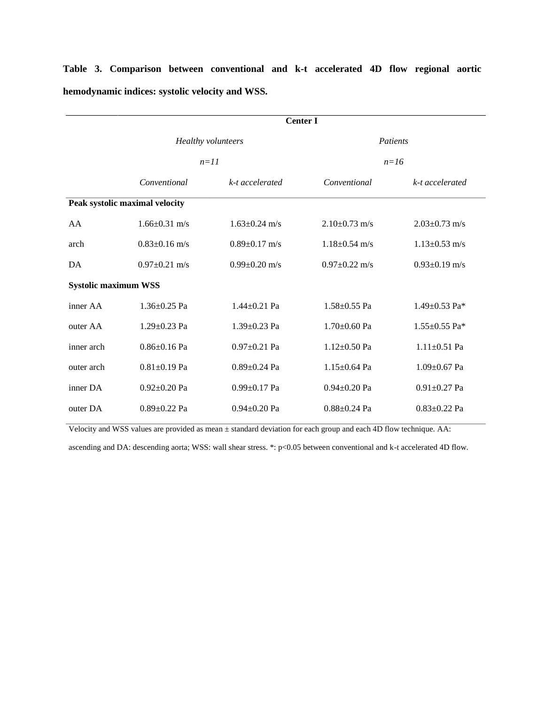|                                | <b>Center I</b>           |                     |                     |                     |  |
|--------------------------------|---------------------------|---------------------|---------------------|---------------------|--|
|                                | <b>Healthy volunteers</b> |                     | <b>Patients</b>     |                     |  |
|                                | $n=11$                    |                     | $n=16$              |                     |  |
|                                | Conventional              | k-t accelerated     | Conventional        | k-t accelerated     |  |
| Peak systolic maximal velocity |                           |                     |                     |                     |  |
| AA                             | $1.66 \pm 0.31$ m/s       | $1.63 \pm 0.24$ m/s | $2.10+0.73$ m/s     | $2.03 \pm 0.73$ m/s |  |
| arch                           | $0.83 \pm 0.16$ m/s       | $0.89 \pm 0.17$ m/s | $1.18 \pm 0.54$ m/s | $1.13 \pm 0.53$ m/s |  |
| DA                             | $0.97 \pm 0.21$ m/s       | $0.99 \pm 0.20$ m/s | $0.97 \pm 0.22$ m/s | $0.93 \pm 0.19$ m/s |  |
| <b>Systolic maximum WSS</b>    |                           |                     |                     |                     |  |
| inner AA                       | $1.36 \pm 0.25$ Pa        | $1.44 \pm 0.21$ Pa  | $1.58 \pm 0.55$ Pa  | 1.49 $\pm$ 0.53 Pa* |  |
| outer AA                       | $1.29 \pm 0.23$ Pa        | $1.39 \pm 0.23$ Pa  | $1.70 \pm 0.60$ Pa  | 1.55 $\pm$ 0.55 Pa* |  |
| inner arch                     | $0.86 \pm 0.16$ Pa        | $0.97 \pm 0.21$ Pa  | $1.12 \pm 0.50$ Pa  | $1.11 \pm 0.51$ Pa  |  |
| outer arch                     | $0.81 \pm 0.19$ Pa        | $0.89 \pm 0.24$ Pa  | $1.15 \pm 0.64$ Pa  | $1.09 \pm 0.67$ Pa  |  |
| inner DA                       | $0.92+0.20$ Pa            | $0.99 \pm 0.17$ Pa  | $0.94 \pm 0.20$ Pa  | $0.91 \pm 0.27$ Pa  |  |
| outer DA                       | $0.89 \pm 0.22$ Pa        | $0.94 \pm 0.20$ Pa  | $0.88 \pm 0.24$ Pa  | $0.83 \pm 0.22$ Pa  |  |

**Table 3. Comparison between conventional and k-t accelerated 4D flow regional aortic hemodynamic indices: systolic velocity and WSS.**

Velocity and WSS values are provided as mean ± standard deviation for each group and each 4D flow technique. AA:

ascending and DA: descending aorta; WSS: wall shear stress. \*: p<0.05 between conventional and k-t accelerated 4D flow.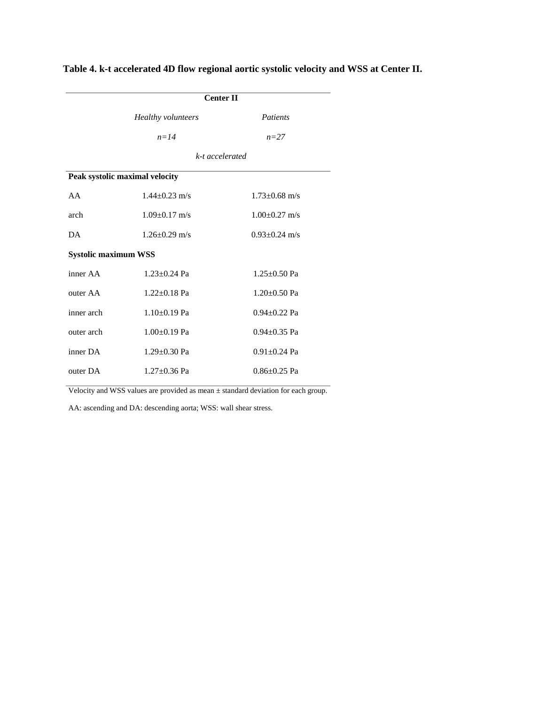|                                | <b>Center II</b>    |                    |  |  |  |  |
|--------------------------------|---------------------|--------------------|--|--|--|--|
|                                | Healthy volunteers  | Patients           |  |  |  |  |
|                                | $n = 14$            | $n=27$             |  |  |  |  |
|                                | k-t accelerated     |                    |  |  |  |  |
| Peak systolic maximal velocity |                     |                    |  |  |  |  |
| AA                             | $1.44 \pm 0.23$ m/s | $1.73 + 0.68$ m/s  |  |  |  |  |
| arch                           | $1.09 + 0.17$ m/s   | $1.00 + 0.27$ m/s  |  |  |  |  |
| DA.<br>$1.26 + 0.29$ m/s       |                     | $0.93 + 0.24$ m/s  |  |  |  |  |
| <b>Systolic maximum WSS</b>    |                     |                    |  |  |  |  |
| inner AA                       | $1.23 + 0.24$ Pa    | $1.25 \pm 0.50$ Pa |  |  |  |  |
| outer AA                       | $1.22 + 0.18$ Pa    | $1.20 \pm 0.50$ Pa |  |  |  |  |
| inner arch                     | $1.10+0.19$ Pa      | $0.94 + 0.22$ Pa   |  |  |  |  |
| outer arch                     | $1.00+0.19$ Pa      | $0.94 + 0.35$ Pa   |  |  |  |  |
| inner DA                       | $1.29 \pm 0.30$ Pa  | $0.91 \pm 0.24$ Pa |  |  |  |  |
| outer DA                       | $1.27 + 0.36$ Pa    | $0.86 + 0.25$ Pa   |  |  |  |  |

**Table 4. k-t accelerated 4D flow regional aortic systolic velocity and WSS at Center II.**

Velocity and WSS values are provided as mean ± standard deviation for each group.

AA: ascending and DA: descending aorta; WSS: wall shear stress.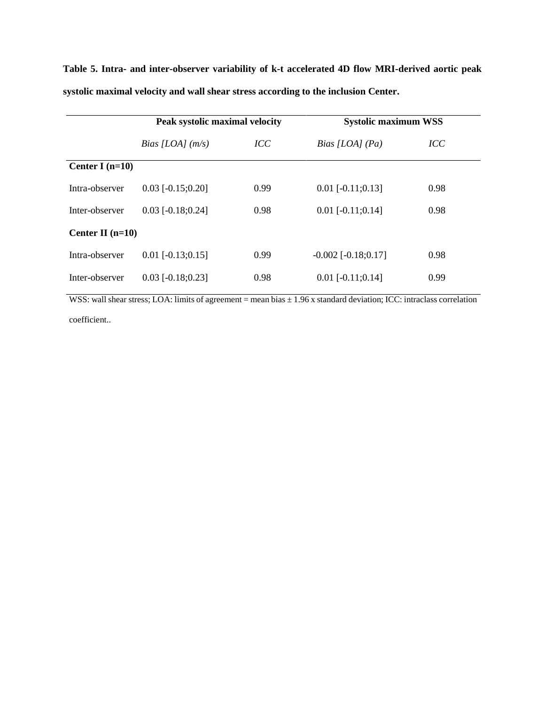**Table 5. Intra- and inter-observer variability of k-t accelerated 4D flow MRI-derived aortic peak systolic maximal velocity and wall shear stress according to the inclusion Center.**

|                    | Peak systolic maximal velocity |      | <b>Systolic maximum WSS</b>   |      |  |
|--------------------|--------------------------------|------|-------------------------------|------|--|
|                    | Bias [LOA] $(m/s)$             | ICC  | Bias [LOA] $(Pa)$             | ICC  |  |
| Center I $(n=10)$  |                                |      |                               |      |  |
| Intra-observer     | $0.03$ [-0.15;0.20]            | 0.99 | $0.01$ [ $-0.11;0.13$ ]       | 0.98 |  |
| Inter-observer     | $0.03$ [-0.18;0.24]            | 0.98 | $0.01$ [-0.11;0.14]           | 0.98 |  |
| Center II $(n=10)$ |                                |      |                               |      |  |
| Intra-observer     | $0.01$ [-0.13;0.15]            | 0.99 | $-0.002$ [ $-0.18$ ; $0.17$ ] | 0.98 |  |
| Inter-observer     | $0.03$ [-0.18;0.23]            | 0.98 | $0.01$ [-0.11;0.14]           | 0.99 |  |

WSS: wall shear stress; LOA: limits of agreement = mean bias  $\pm$  1.96 x standard deviation; ICC: intraclass correlation coefficient..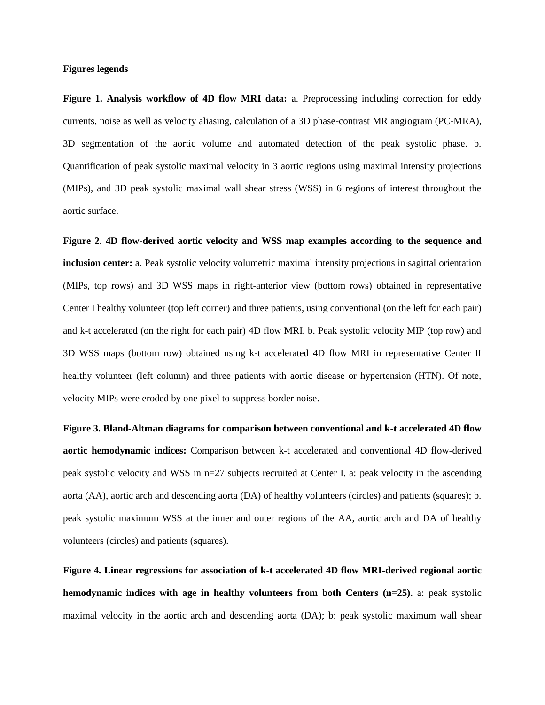# **Figures legends**

**Figure 1. Analysis workflow of 4D flow MRI data:** a. Preprocessing including correction for eddy currents, noise as well as velocity aliasing, calculation of a 3D phase-contrast MR angiogram (PC-MRA), 3D segmentation of the aortic volume and automated detection of the peak systolic phase. b. Quantification of peak systolic maximal velocity in 3 aortic regions using maximal intensity projections (MIPs), and 3D peak systolic maximal wall shear stress (WSS) in 6 regions of interest throughout the aortic surface.

**Figure 2. 4D flow-derived aortic velocity and WSS map examples according to the sequence and inclusion center:** a. Peak systolic velocity volumetric maximal intensity projections in sagittal orientation (MIPs, top rows) and 3D WSS maps in right-anterior view (bottom rows) obtained in representative Center I healthy volunteer (top left corner) and three patients, using conventional (on the left for each pair) and k-t accelerated (on the right for each pair) 4D flow MRI. b. Peak systolic velocity MIP (top row) and 3D WSS maps (bottom row) obtained using k-t accelerated 4D flow MRI in representative Center II healthy volunteer (left column) and three patients with aortic disease or hypertension (HTN). Of note, velocity MIPs were eroded by one pixel to suppress border noise.

**Figure 3. Bland-Altman diagrams for comparison between conventional and k-t accelerated 4D flow aortic hemodynamic indices:** Comparison between k-t accelerated and conventional 4D flow-derived peak systolic velocity and WSS in n=27 subjects recruited at Center I. a: peak velocity in the ascending aorta (AA), aortic arch and descending aorta (DA) of healthy volunteers (circles) and patients (squares); b. peak systolic maximum WSS at the inner and outer regions of the AA, aortic arch and DA of healthy volunteers (circles) and patients (squares).

**Figure 4. Linear regressions for association of k-t accelerated 4D flow MRI-derived regional aortic hemodynamic indices with age in healthy volunteers from both Centers (n=25).** a: peak systolic maximal velocity in the aortic arch and descending aorta (DA); b: peak systolic maximum wall shear